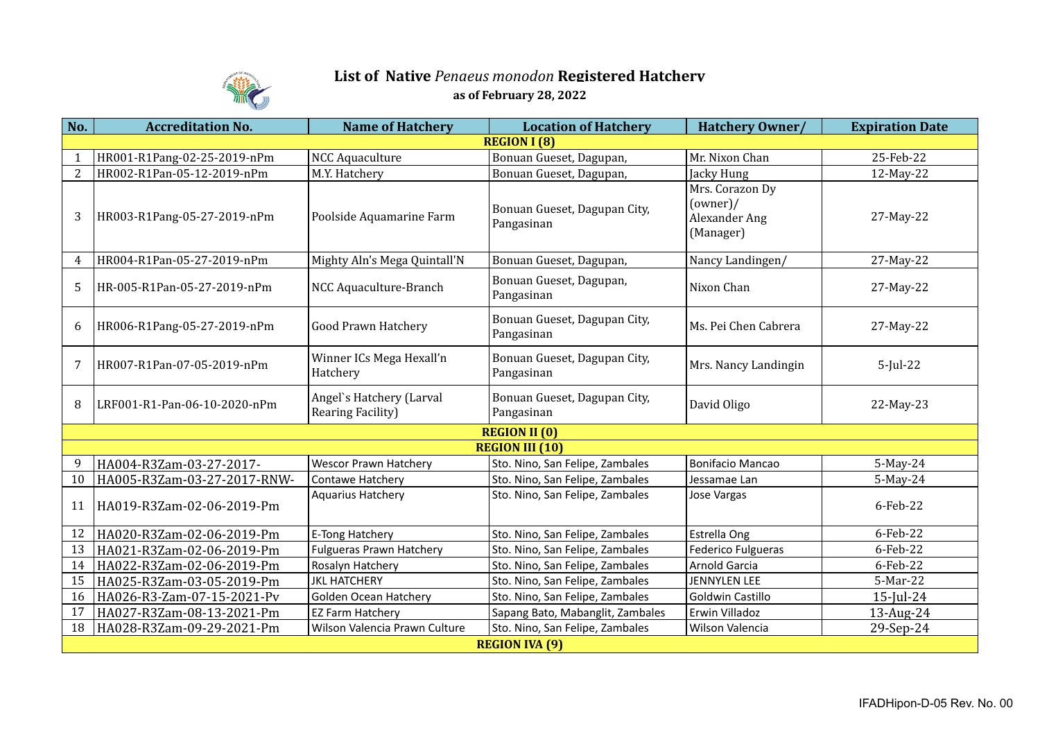

## **List of Native** *Penaeus monodon* **Registered Hatchery as of February 28, 2022**

| No.                  | <b>Accreditation No.</b>     | <b>Name of Hatchery</b>                       | <b>Location of Hatchery</b>                | Hatchery Owner/                                           | <b>Expiration Date</b> |  |  |  |
|----------------------|------------------------------|-----------------------------------------------|--------------------------------------------|-----------------------------------------------------------|------------------------|--|--|--|
| <b>REGION I (8)</b>  |                              |                                               |                                            |                                                           |                        |  |  |  |
|                      | HR001-R1Pang-02-25-2019-nPm  | <b>NCC Aquaculture</b>                        | Bonuan Gueset, Dagupan,                    | Mr. Nixon Chan                                            | 25-Feb-22              |  |  |  |
| 2                    | HR002-R1Pan-05-12-2019-nPm   | M.Y. Hatchery                                 | Bonuan Gueset, Dagupan,                    | Jacky Hung                                                | 12-May-22              |  |  |  |
| 3                    | HR003-R1Pang-05-27-2019-nPm  | Poolside Aquamarine Farm                      | Bonuan Gueset, Dagupan City,<br>Pangasinan | Mrs. Corazon Dy<br>(owner)/<br>Alexander Ang<br>(Manager) | 27-May-22              |  |  |  |
| $\overline{4}$       | HR004-R1Pan-05-27-2019-nPm   | Mighty Aln's Mega Quintall'N                  | Bonuan Gueset, Dagupan,                    | Nancy Landingen/                                          | 27-May-22              |  |  |  |
| -5                   | HR-005-R1Pan-05-27-2019-nPm  | NCC Aquaculture-Branch                        | Bonuan Gueset, Dagupan,<br>Pangasinan      | Nixon Chan                                                | 27-May-22              |  |  |  |
| 6                    | HR006-R1Pang-05-27-2019-nPm  | <b>Good Prawn Hatchery</b>                    | Bonuan Gueset, Dagupan City,<br>Pangasinan | Ms. Pei Chen Cabrera                                      | 27-May-22              |  |  |  |
| 7                    | HR007-R1Pan-07-05-2019-nPm   | Winner ICs Mega Hexall'n<br>Hatchery          | Bonuan Gueset, Dagupan City,<br>Pangasinan | Mrs. Nancy Landingin                                      | $5$ -Jul-22            |  |  |  |
| 8                    | LRF001-R1-Pan-06-10-2020-nPm | Angel's Hatchery (Larval<br>Rearing Facility) | Bonuan Gueset, Dagupan City,<br>Pangasinan | David Oligo                                               | 22-May-23              |  |  |  |
| <b>REGION II (0)</b> |                              |                                               |                                            |                                                           |                        |  |  |  |
|                      |                              |                                               | <b>REGION III (10)</b>                     |                                                           |                        |  |  |  |
| 9                    | HA004-R3Zam-03-27-2017-      | <b>Wescor Prawn Hatchery</b>                  | Sto. Nino, San Felipe, Zambales            | <b>Bonifacio Mancao</b>                                   | $5$ -May-24            |  |  |  |
| 10                   | HA005-R3Zam-03-27-2017-RNW-  | Contawe Hatchery                              | Sto. Nino, San Felipe, Zambales            | Jessamae Lan                                              | 5-May-24               |  |  |  |
| 11                   | HA019-R3Zam-02-06-2019-Pm    | Aquarius Hatchery                             | Sto. Nino, San Felipe, Zambales            | Jose Vargas                                               | 6-Feb-22               |  |  |  |
| 12                   | HA020-R3Zam-02-06-2019-Pm    | E-Tong Hatchery                               | Sto. Nino, San Felipe, Zambales            | Estrella Ong                                              | 6-Feb-22               |  |  |  |
| 13                   | HA021-R3Zam-02-06-2019-Pm    | <b>Fulgueras Prawn Hatchery</b>               | Sto. Nino, San Felipe, Zambales            | Federico Fulgueras                                        | 6-Feb-22               |  |  |  |
| 14                   | HA022-R3Zam-02-06-2019-Pm    | Rosalyn Hatchery                              | Sto. Nino, San Felipe, Zambales            | Arnold Garcia                                             | 6-Feb-22               |  |  |  |
| 15                   | HA025-R3Zam-03-05-2019-Pm    | <b>JKL HATCHERY</b>                           | Sto. Nino, San Felipe, Zambales            | JENNYLEN LEE                                              | 5-Mar-22               |  |  |  |
| 16                   | HA026-R3-Zam-07-15-2021-Pv   | Golden Ocean Hatchery                         | Sto. Nino, San Felipe, Zambales            | Goldwin Castillo                                          | $15$ -Jul-24           |  |  |  |
| 17                   | HA027-R3Zam-08-13-2021-Pm    | EZ Farm Hatchery                              | Sapang Bato, Mabanglit, Zambales           | Erwin Villadoz                                            | 13-Aug-24              |  |  |  |
| 18                   | HA028-R3Zam-09-29-2021-Pm    | Wilson Valencia Prawn Culture                 | Sto. Nino, San Felipe, Zambales            | Wilson Valencia                                           | 29-Sep-24              |  |  |  |
|                      | <b>REGION IVA (9)</b>        |                                               |                                            |                                                           |                        |  |  |  |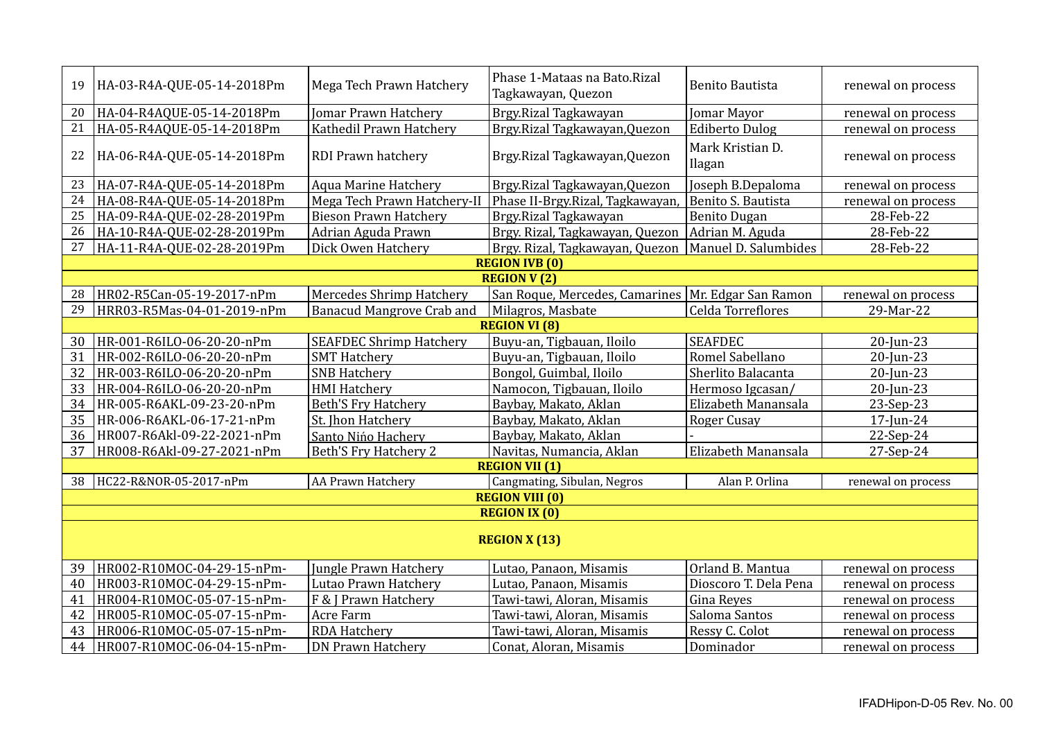| 19                   | HA-03-R4A-QUE-05-14-2018Pm | Mega Tech Prawn Hatchery         | Phase 1-Mataas na Bato.Rizal<br>Tagkawayan, Quezon   | <b>Benito Bautista</b>     | renewal on process |  |  |
|----------------------|----------------------------|----------------------------------|------------------------------------------------------|----------------------------|--------------------|--|--|
| 20                   | HA-04-R4AQUE-05-14-2018Pm  | <b>Jomar Prawn Hatchery</b>      | Brgy.Rizal Tagkawayan                                | <b>Jomar Mayor</b>         | renewal on process |  |  |
| 21                   | HA-05-R4AQUE-05-14-2018Pm  | Kathedil Prawn Hatchery          | Brgy.Rizal Tagkawayan, Quezon                        | <b>Ediberto Dulog</b>      | renewal on process |  |  |
| 22                   | HA-06-R4A-QUE-05-14-2018Pm | RDI Prawn hatchery               | Brgy.Rizal Tagkawayan, Quezon                        | Mark Kristian D.<br>Ilagan | renewal on process |  |  |
| 23                   | HA-07-R4A-QUE-05-14-2018Pm | <b>Aqua Marine Hatchery</b>      | Brgy.Rizal Tagkawayan, Quezon                        | Joseph B.Depaloma          | renewal on process |  |  |
| 24                   | HA-08-R4A-QUE-05-14-2018Pm | Mega Tech Prawn Hatchery-II      | Phase II-Brgy.Rizal, Tagkawayan                      | Benito S. Bautista         | renewal on process |  |  |
| 25                   | HA-09-R4A-QUE-02-28-2019Pm | <b>Bieson Prawn Hatchery</b>     | Brgy.Rizal Tagkawayan                                | <b>Benito Dugan</b>        | 28-Feb-22          |  |  |
| 26                   | HA-10-R4A-QUE-02-28-2019Pm | Adrian Aguda Prawn               | Brgy. Rizal, Tagkawayan, Quezon                      | Adrian M. Aguda            | 28-Feb-22          |  |  |
| 27                   | HA-11-R4A-QUE-02-28-2019Pm | Dick Owen Hatchery               | Brgy. Rizal, Tagkawayan, Quezon                      | Manuel D. Salumbides       | 28-Feb-22          |  |  |
|                      |                            |                                  | <b>REGION IVB (0)</b>                                |                            |                    |  |  |
|                      |                            |                                  | <b>REGION V(2)</b>                                   |                            |                    |  |  |
| 28                   | HR02-R5Can-05-19-2017-nPm  | Mercedes Shrimp Hatchery         | San Roque, Mercedes, Camarines   Mr. Edgar San Ramon |                            | renewal on process |  |  |
| 29                   | HRR03-R5Mas-04-01-2019-nPm | <b>Banacud Mangrove Crab and</b> | Milagros, Masbate                                    | Celda Torreflores          | 29-Mar-22          |  |  |
|                      |                            |                                  | <b>REGION VI (8)</b>                                 |                            |                    |  |  |
| 30                   | HR-001-R6ILO-06-20-20-nPm  | <b>SEAFDEC Shrimp Hatchery</b>   | Buyu-an, Tigbauan, Iloilo                            | <b>SEAFDEC</b>             | 20-Jun-23          |  |  |
| 31                   | HR-002-R6ILO-06-20-20-nPm  | <b>SMT Hatchery</b>              | Buyu-an, Tigbauan, Iloilo                            | Romel Sabellano            | 20-Jun-23          |  |  |
| 32                   | HR-003-R6ILO-06-20-20-nPm  | <b>SNB Hatchery</b>              | Bongol, Guimbal, Iloilo                              | Sherlito Balacanta         | 20-Jun-23          |  |  |
| 33                   | HR-004-R6ILO-06-20-20-nPm  | <b>HMI Hatchery</b>              | Namocon, Tigbauan, Iloilo                            | Hermoso Igcasan/           | 20-Jun-23          |  |  |
| 34                   | HR-005-R6AKL-09-23-20-nPm  | <b>Beth'S Fry Hatchery</b>       | Baybay, Makato, Aklan                                | Elizabeth Manansala        | 23-Sep-23          |  |  |
| 35                   | HR-006-R6AKL-06-17-21-nPm  | St. Jhon Hatchery                | Baybay, Makato, Aklan                                | Roger Cusay                | $17$ -Jun-24       |  |  |
| 36                   | HR007-R6Akl-09-22-2021-nPm | Santo Nińo Hachery               | Baybay, Makato, Aklan                                |                            | 22-Sep-24          |  |  |
| 37                   | HR008-R6Akl-09-27-2021-nPm | <b>Beth'S Fry Hatchery 2</b>     | Navitas, Numancia, Aklan                             | Elizabeth Manansala        | 27-Sep-24          |  |  |
|                      |                            |                                  | <b>REGION VII (1)</b>                                |                            |                    |  |  |
| 38                   | HC22-R&NOR-05-2017-nPm     | AA Prawn Hatchery                | Cangmating, Sibulan, Negros                          | Alan P. Orlina             | renewal on process |  |  |
|                      |                            |                                  | <b>REGION VIII (0)</b>                               |                            |                    |  |  |
| <b>REGION IX (0)</b> |                            |                                  |                                                      |                            |                    |  |  |
| <b>REGION X (13)</b> |                            |                                  |                                                      |                            |                    |  |  |
|                      |                            |                                  |                                                      |                            |                    |  |  |
| 39                   | HR002-R10MOC-04-29-15-nPm- | Jungle Prawn Hatchery            | Lutao, Panaon, Misamis                               | Orland B. Mantua           | renewal on process |  |  |
| 40                   | HR003-R10MOC-04-29-15-nPm- | Lutao Prawn Hatchery             | Lutao, Panaon, Misamis                               | Dioscoro T. Dela Pena      | renewal on process |  |  |
| 41                   | HR004-R10MOC-05-07-15-nPm- | F & J Prawn Hatchery             | Tawi-tawi, Aloran, Misamis                           | Gina Reyes                 | renewal on process |  |  |
| 42                   | HR005-R10MOC-05-07-15-nPm- | Acre Farm                        | Tawi-tawi, Aloran, Misamis                           | Saloma Santos              | renewal on process |  |  |
| 43                   | HR006-R10MOC-05-07-15-nPm- | <b>RDA Hatchery</b>              | Tawi-tawi, Aloran, Misamis                           | Ressy C. Colot             | renewal on process |  |  |
| 44                   | HR007-R10MOC-06-04-15-nPm- | <b>DN Prawn Hatchery</b>         | Conat, Aloran, Misamis                               | Dominador                  | renewal on process |  |  |